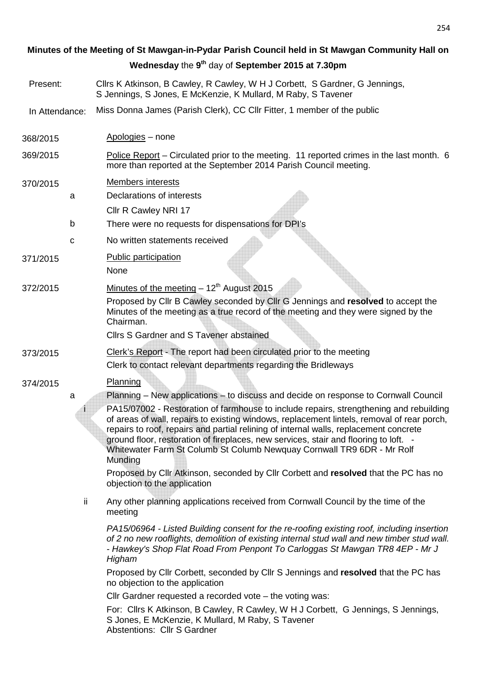# 368/2015 Apologies – none 369/2015 Police Report – Circulated prior to the meeting. 11 reported crimes in the last month. 6 more than reported at the September 2014 Parish Council meeting. 370/2015 Members interests a Declarations of interests Cllr R Cawley NRI 17 b There were no requests for dispensations for DPI's c No written statements received 371/2015 Public participation None  $372/2015$  Minutes of the meeting  $-12<sup>th</sup>$  August 2015 Proposed by Cllr B Cawley seconded by Cllr G Jennings and **resolved** to accept the Minutes of the meeting as a true record of the meeting and they were signed by the Chairman. Cllrs S Gardner and S Tavener abstained 373/2015 Clerk's Report - The report had been circulated prior to the meeting Clerk to contact relevant departments regarding the Bridleways 374/2015 Planning a Planning – New applications – to discuss and decide on response to Cornwall Council PA15/07002 - Restoration of farmhouse to include repairs, strengthening and rebuilding of areas of wall, repairs to existing windows, replacement lintels, removal of rear porch, repairs to roof, repairs and partial relining of internal walls, replacement concrete ground floor, restoration of fireplaces, new services, stair and flooring to loft. - Whitewater Farm St Columb St Columb Newquay Cornwall TR9 6DR - Mr Rolf Munding Proposed by Cllr Atkinson, seconded by Cllr Corbett and **resolved** that the PC has no objection to the application ii Any other planning applications received from Cornwall Council by the time of the meeting PA15/06964 - Listed Building consent for the re-roofing existing roof, including insertion of 2 no new rooflights, demolition of existing internal stud wall and new timber stud wall. - Hawkey's Shop Flat Road From Penpont To Carloggas St Mawgan TR8 4EP - Mr J Higham Proposed by Cllr Corbett, seconded by Cllr S Jennings and **resolved** that the PC has no objection to the application Cllr Gardner requested a recorded vote – the voting was: For: Cllrs K Atkinson, B Cawley, R Cawley, W H J Corbett, G Jennings, S Jennings, S Jones, E McKenzie, K Mullard, M Raby, S Tavener Abstentions: Cllr S Gardner Present: Cllrs K Atkinson, B Cawley, R Cawley, W H J Corbett, S Gardner, G Jennings, S Jennings, S Jones, E McKenzie, K Mullard, M Raby, S Tavener In Attendance: Miss Donna James (Parish Clerk), CC Cllr Fitter, 1 member of the public **Minutes of the Meeting of St Mawgan-in-Pydar Parish Council held in St Mawgan Community Hall on Wednesday** the **9 th** day of **September 2015 at 7.30pm**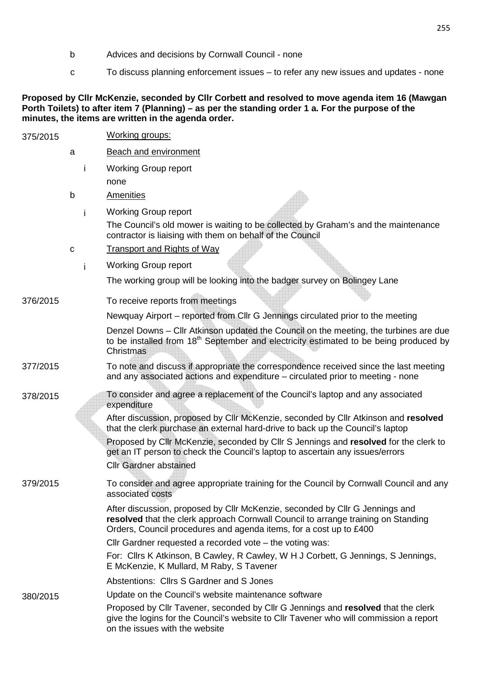- b Advices and decisions by Cornwall Council none
- c To discuss planning enforcement issues to refer any new issues and updates none

#### **Proposed by Cllr McKenzie, seconded by Cllr Corbett and resolved to move agenda item 16 (Mawgan Porth Toilets) to after item 7 (Planning) – as per the standing order 1 a. For the purpose of the minutes, the items are written in the agenda order.**

| 375/2015 |   |    | <b>Working groups:</b>                                                                                                                                                                                                                                                                                                                                                          |
|----------|---|----|---------------------------------------------------------------------------------------------------------------------------------------------------------------------------------------------------------------------------------------------------------------------------------------------------------------------------------------------------------------------------------|
|          | a |    | <b>Beach and environment</b>                                                                                                                                                                                                                                                                                                                                                    |
|          |   | Ť  | <b>Working Group report</b>                                                                                                                                                                                                                                                                                                                                                     |
|          |   |    | none                                                                                                                                                                                                                                                                                                                                                                            |
|          | b |    | <b>Amenities</b>                                                                                                                                                                                                                                                                                                                                                                |
|          |   | i. | <b>Working Group report</b>                                                                                                                                                                                                                                                                                                                                                     |
|          |   |    | The Council's old mower is waiting to be collected by Graham's and the maintenance<br>contractor is liaising with them on behalf of the Council                                                                                                                                                                                                                                 |
|          | C |    | <b>Transport and Rights of Way</b>                                                                                                                                                                                                                                                                                                                                              |
|          |   | i. | <b>Working Group report</b>                                                                                                                                                                                                                                                                                                                                                     |
|          |   |    | The working group will be looking into the badger survey on Bolingey Lane                                                                                                                                                                                                                                                                                                       |
| 376/2015 |   |    | To receive reports from meetings                                                                                                                                                                                                                                                                                                                                                |
|          |   |    | Newquay Airport – reported from Cllr G Jennings circulated prior to the meeting                                                                                                                                                                                                                                                                                                 |
|          |   |    | Denzel Downs - Cllr Atkinson updated the Council on the meeting, the turbines are due<br>to be installed from 18 <sup>th</sup> September and electricity estimated to be being produced by<br>Christmas                                                                                                                                                                         |
| 377/2015 |   |    | To note and discuss if appropriate the correspondence received since the last meeting<br>and any associated actions and expenditure – circulated prior to meeting - none                                                                                                                                                                                                        |
| 378/2015 |   |    | To consider and agree a replacement of the Council's laptop and any associated<br>expenditure                                                                                                                                                                                                                                                                                   |
|          |   |    | After discussion, proposed by Cllr McKenzie, seconded by Cllr Atkinson and resolved<br>that the clerk purchase an external hard-drive to back up the Council's laptop<br>Proposed by Cllr McKenzie, seconded by Cllr S Jennings and resolved for the clerk to<br>get an IT person to check the Council's laptop to ascertain any issues/errors<br><b>Cllr Gardner abstained</b> |
| 379/2015 |   |    | To consider and agree appropriate training for the Council by Cornwall Council and any<br>associated costs                                                                                                                                                                                                                                                                      |
|          |   |    | After discussion, proposed by Cllr McKenzie, seconded by Cllr G Jennings and<br>resolved that the clerk approach Cornwall Council to arrange training on Standing<br>Orders, Council procedures and agenda items, for a cost up to £400                                                                                                                                         |
|          |   |    | Cllr Gardner requested a recorded vote - the voting was:                                                                                                                                                                                                                                                                                                                        |
|          |   |    | For: Cllrs K Atkinson, B Cawley, R Cawley, W H J Corbett, G Jennings, S Jennings,<br>E McKenzie, K Mullard, M Raby, S Tavener                                                                                                                                                                                                                                                   |
|          |   |    | Abstentions: Cllrs S Gardner and S Jones                                                                                                                                                                                                                                                                                                                                        |
| 380/2015 |   |    | Update on the Council's website maintenance software                                                                                                                                                                                                                                                                                                                            |
|          |   |    | Proposed by Cllr Tavener, seconded by Cllr G Jennings and resolved that the clerk<br>give the logins for the Council's website to Cllr Tavener who will commission a report<br>on the issues with the website                                                                                                                                                                   |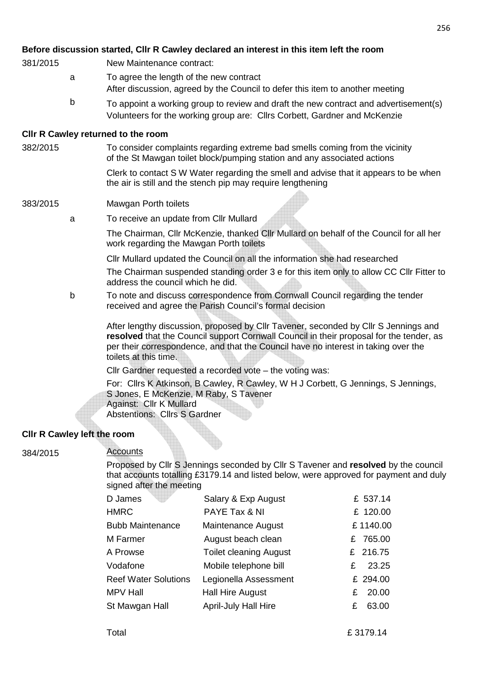#### **Before discussion started, Cllr R Cawley declared an interest in this item left the room**

- 381/2015 New Maintenance contract:
	- a To agree the length of the new contract After discussion, agreed by the Council to defer this item to another meeting
	- b To appoint a working group to review and draft the new contract and advertisement(s) Volunteers for the working group are: Cllrs Corbett, Gardner and McKenzie

#### **Cllr R Cawley returned to the room**

382/2015 To consider complaints regarding extreme bad smells coming from the vicinity of the St Mawgan toilet block/pumping station and any associated actions

> Clerk to contact S W Water regarding the smell and advise that it appears to be when the air is still and the stench pip may require lengthening

#### 383/2015 Mawgan Porth toilets

a To receive an update from Cllr Mullard

The Chairman, Cllr McKenzie, thanked Cllr Mullard on behalf of the Council for all her work regarding the Mawgan Porth toilets

Cllr Mullard updated the Council on all the information she had researched

The Chairman suspended standing order 3 e for this item only to allow CC Cllr Fitter to address the council which he did.

b To note and discuss correspondence from Cornwall Council regarding the tender received and agree the Parish Council's formal decision

After lengthy discussion, proposed by Cllr Tavener, seconded by Cllr S Jennings and **resolved** that the Council support Cornwall Council in their proposal for the tender, as per their correspondence, and that the Council have no interest in taking over the toilets at this time.

Cllr Gardner requested a recorded vote – the voting was:

For: Cllrs K Atkinson, B Cawley, R Cawley, W H J Corbett, G Jennings, S Jennings, S Jones, E McKenzie, M Raby, S Tavener Against: Cllr K Mullard

Abstentions: Cllrs S Gardner

#### **Cllr R Cawley left the room**

#### 384/2015 Accounts

Proposed by Cllr S Jennings seconded by Cllr S Tavener and **resolved** by the council that accounts totalling £3179.14 and listed below, were approved for payment and duly signed after the meeting

| D James                     | Salary & Exp August           | £ 537.14   |
|-----------------------------|-------------------------------|------------|
| <b>HMRC</b>                 | PAYE Tax & NI                 | £ 120.00   |
| <b>Bubb Maintenance</b>     | Maintenance August            | £1140.00   |
| M Farmer                    | August beach clean            | £ 765.00   |
| A Prowse                    | <b>Toilet cleaning August</b> | £ 216.75   |
| Vodafone                    | Mobile telephone bill         | 23.25<br>£ |
| <b>Reef Water Solutions</b> | Legionella Assessment         | £ 294.00   |
| <b>MPV Hall</b>             | <b>Hall Hire August</b>       | 20.00<br>£ |
| St Mawgan Hall              | <b>April-July Hall Hire</b>   | 63.00<br>£ |